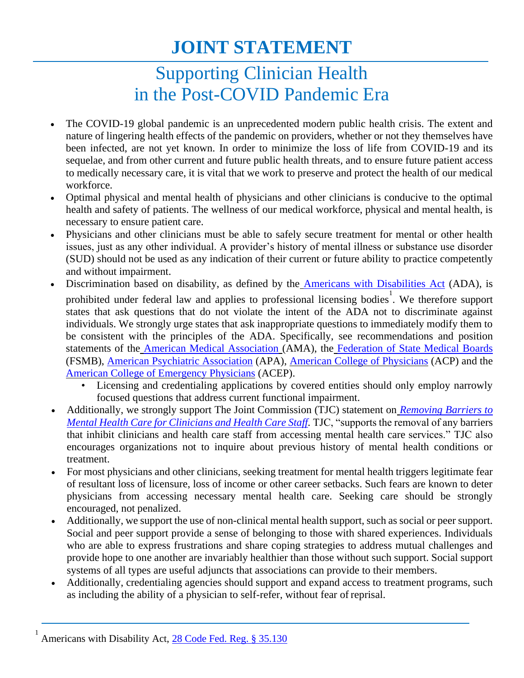## **JOINT STATEMENT**

## Supporting Clinician Health in the Post-COVID Pandemic Era

- The COVID-19 global pandemic is an unprecedented modern public health crisis. The extent and nature of lingering health effects of the pandemic on providers, whether or not they themselves have been infected, are not yet known. In order to minimize the loss of life from COVID-19 and its sequelae, and from other current and future public health threats, and to ensure future patient access to medically necessary care, it is vital that we work to preserve and protect the health of our medical workforce.
- Optimal physical and mental health of physicians and other clinicians is conducive to the optimal health and safety of patients. The wellness of our medical workforce, physical and mental health, is necessary to ensure patient care.
- Physicians and other clinicians must be able to safely secure treatment for mental or other health issues, just as any other individual. A provider's history of mental illness or substance use disorder (SUD) should not be used as any indication of their current or future ability to practice competently and without impairment.
- Discrimination based on disability, as defined by the **[Americans with Disabilities Act](https://www.ada.gov/)** (ADA), is prohibited under federal law and applies to professional licensing bodies<sup>1</sup>. We therefore support states that ask questions that do not violate the intent of the ADA not to discriminate against individuals. We strongly urge states that ask inappropriate questions to immediately modify them to be consistent with the principles of the ADA. Specifically, see recommendations and position statements of the [American Medical Association](https://policysearch.ama-assn.org/policyfinder/detail/physician%20suicide?uri=%2FAMADoc%2FHOD-295.858.xml) (AMA), the [Federation of State Medical Boards](http://www.fsmb.org/siteassets/advocacy/policies/policy-on-wellness-and-burnout.pdf) (FSMB), [American Psychiatric Association](https://www.psychiatry.org/File%20Library/About-APA/Organization-Documents-Policies/Policies/Position-2018-Inquiries-about-Diagnosis-and-Treatment-of-Mental-Disorders-in-Connection-with-Professional-Credentialing-and-Licensing.pdf) (APA), [American College of](https://www.acpjournals.org/doi/10.7326/M18-3605) Physicians (ACP) and the [American College of Emergency Physicians](https://www.acep.org/patient-care/policy-statements/physician-impairment/) (ACEP).
	- Licensing and credentialing applications by covered entities should only employ narrowly focused questions that address current functional impairment.
- Additionally, we strongly support The Joint Commission (TJC) statement on *Removing Barriers to Mental Health Care for Clinicians and Health Care Staff.* TJC, "supports the removal of any barriers that inhibit clinicians and health care staff from accessing mental health care services." TJC also encourages organizations not to inquire about previous history of mental health conditions or treatment.
- For most physicians and other clinicians, seeking treatment for mental health triggers legitimate fear of resultant loss of licensure, loss of income or other career setbacks. Such fears are known to deter physicians from accessing necessary mental health care. Seeking care should be strongly encouraged, not penalized.
- Additionally, we support the use of non-clinical mental health support, such as social or peer support. Social and peer support provide a sense of belonging to those with shared experiences. Individuals who are able to express frustrations and share coping strategies to address mutual challenges and provide hope to one another are invariably healthier than those without such support. Social support systems of all types are useful adjuncts that associations can provide to their members.
- Additionally, credentialing agencies should support and expand access to treatment programs, such as including the ability of a physician to self-refer, without fear of reprisal.

Americans with Disability Act, [28 Code Fed. Reg. § 35.130](https://www.ada.gov/regs2010/titleII_2010/titleII_2010_withbold.htm)

1